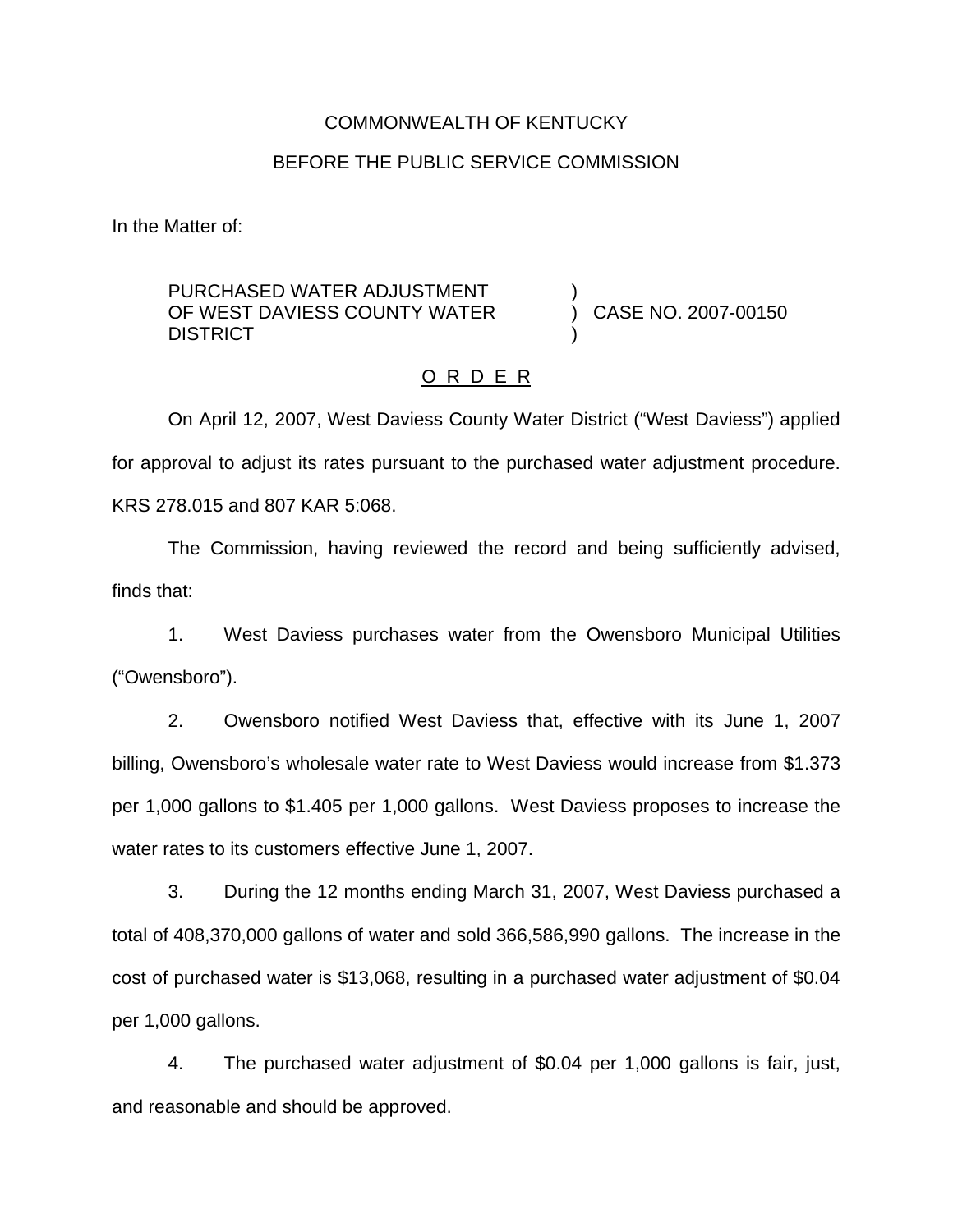### COMMONWEALTH OF KENTUCKY

#### BEFORE THE PUBLIC SERVICE COMMISSION

In the Matter of:

### PURCHASED WATER ADJUSTMENT OF WEST DAVIESS COUNTY WATER **DISTRICT**

) CASE NO. 2007-00150

## O R D E R

)

)

On April 12, 2007, West Daviess County Water District ("West Daviess") applied for approval to adjust its rates pursuant to the purchased water adjustment procedure. KRS 278.015 and 807 KAR 5:068.

The Commission, having reviewed the record and being sufficiently advised, finds that:

1. West Daviess purchases water from the Owensboro Municipal Utilities ("Owensboro").

2. Owensboro notified West Daviess that, effective with its June 1, 2007 billing, Owensboro's wholesale water rate to West Daviess would increase from \$1.373 per 1,000 gallons to \$1.405 per 1,000 gallons. West Daviess proposes to increase the water rates to its customers effective June 1, 2007.

3. During the 12 months ending March 31, 2007, West Daviess purchased a total of 408,370,000 gallons of water and sold 366,586,990 gallons. The increase in the cost of purchased water is \$13,068, resulting in a purchased water adjustment of \$0.04 per 1,000 gallons.

4. The purchased water adjustment of \$0.04 per 1,000 gallons is fair, just, and reasonable and should be approved.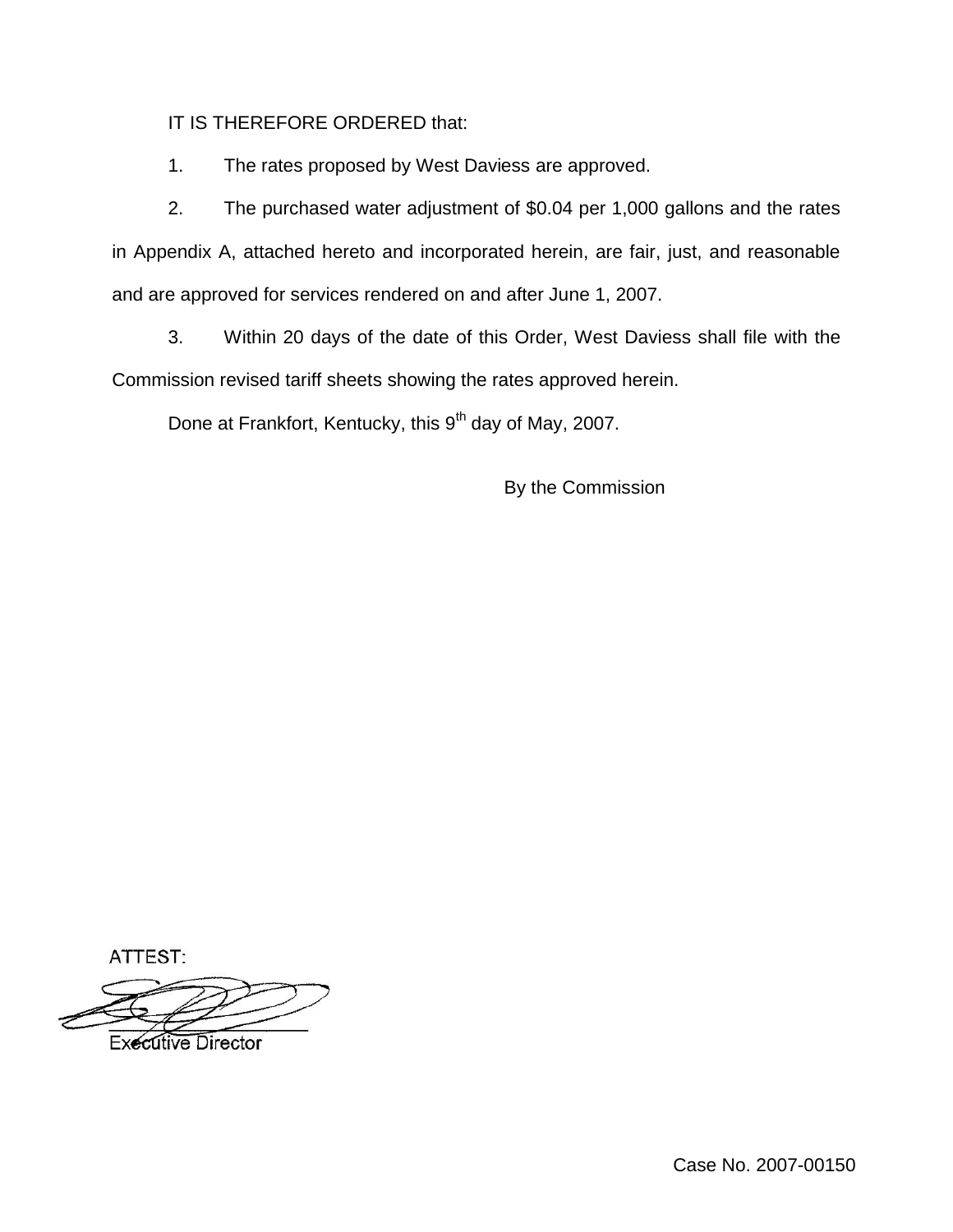IT IS THEREFORE ORDERED that:

1. The rates proposed by West Daviess are approved.

2. The purchased water adjustment of \$0.04 per 1,000 gallons and the rates in Appendix A, attached hereto and incorporated herein, are fair, just, and reasonable and are approved for services rendered on and after June 1, 2007.

3. Within 20 days of the date of this Order, West Daviess shall file with the Commission revised tariff sheets showing the rates approved herein.

Done at Frankfort, Kentucky, this 9<sup>th</sup> day of May, 2007.

By the Commission

ATTEST:

**Executive Director**